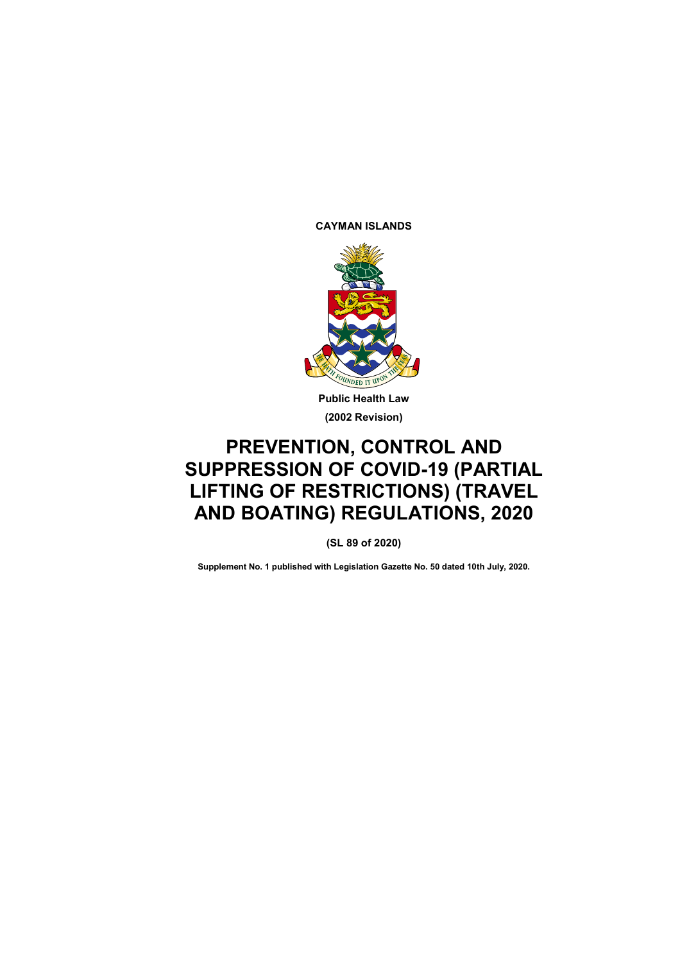**CAYMAN ISLANDS**



**Public Health Law (2002 Revision)**

# **PREVENTION, CONTROL AND SUPPRESSION OF COVID-19 (PARTIAL LIFTING OF RESTRICTIONS) (TRAVEL AND BOATING) REGULATIONS, 2020**

**(SL 89 of 2020)**

**Supplement No. 1 published with Legislation Gazette No. 50 dated 10th July, 2020.**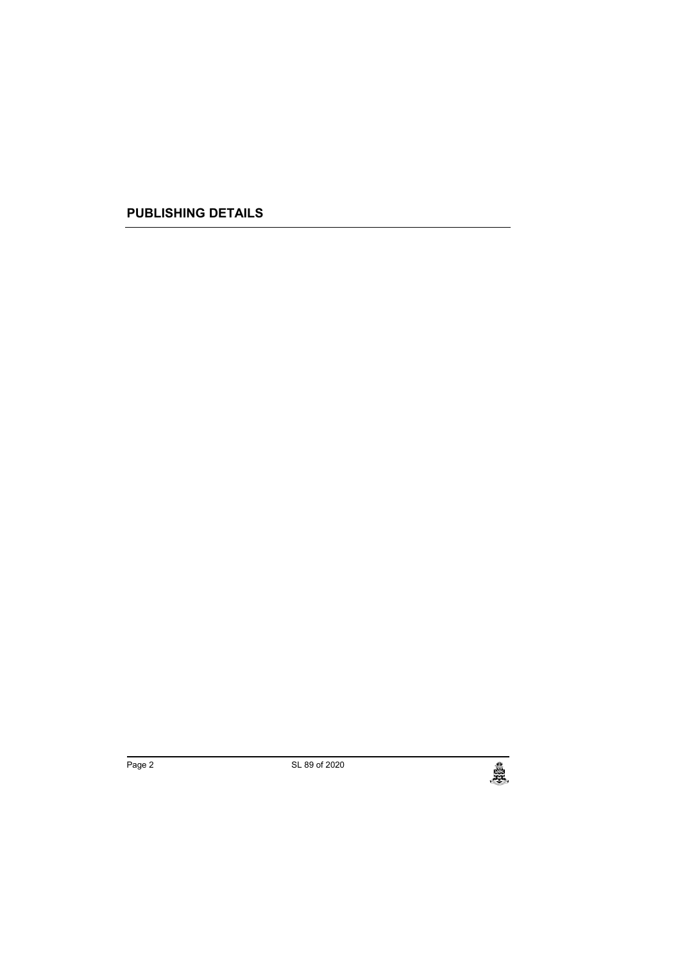**PUBLISHING DETAILS**

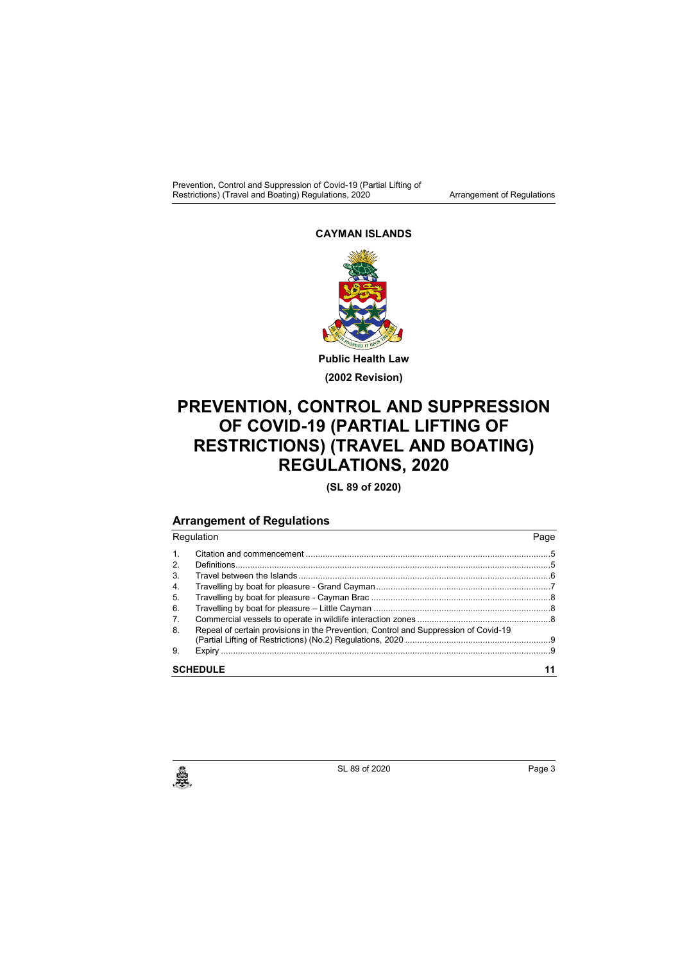Prevention, Control and Suppression of Covid-19 (Partial Lifting of Restrictions) (Travel and Boating) Regulations, 2020 **Arrangement of Regulations** 

#### **CAYMAN ISLANDS**



**Public Health Law (2002 Revision)**

## **PREVENTION, CONTROL AND SUPPRESSION OF COVID-19 (PARTIAL LIFTING OF RESTRICTIONS) (TRAVEL AND BOATING) REGULATIONS, 2020**

**(SL 89 of 2020)**

## **Arrangement of Regulations**

| Regulation      |                                                                                     | Page |
|-----------------|-------------------------------------------------------------------------------------|------|
| 1 <sub>1</sub>  |                                                                                     |      |
| 2.              |                                                                                     |      |
| 3 <sub>1</sub>  |                                                                                     |      |
| 4.              |                                                                                     |      |
| 5.              |                                                                                     |      |
| 6.              |                                                                                     |      |
| 7 <sub>1</sub>  |                                                                                     |      |
| 8.              | Repeal of certain provisions in the Prevention, Control and Suppression of Covid-19 |      |
| 9.              |                                                                                     |      |
| <b>SCHEDULE</b> |                                                                                     |      |

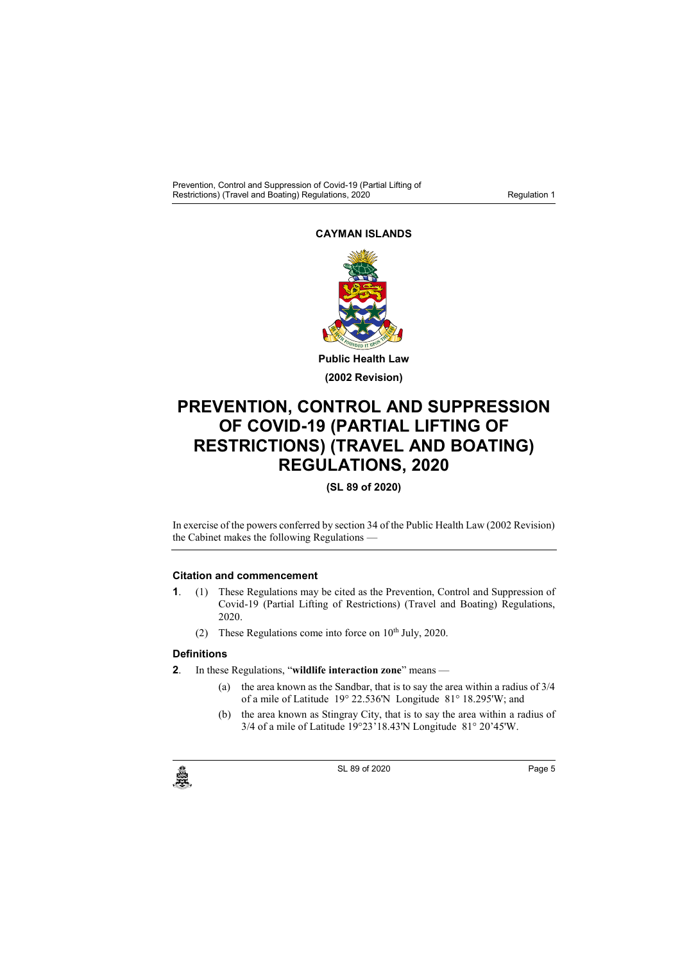Prevention, Control and Suppression of Covid-19 (Partial Lifting of Restrictions) (Travel and Boating) Regulations, 2020

## **CAYMAN ISLANDS**



**Public Health Law (2002 Revision)**

# **PREVENTION, CONTROL AND SUPPRESSION OF COVID-19 (PARTIAL LIFTING OF RESTRICTIONS) (TRAVEL AND BOATING) REGULATIONS, 2020**

## **(SL 89 of 2020)**

In exercise of the powers conferred by section 34 of the Public Health Law (2002 Revision) the Cabinet makes the following Regulations -

#### **1. Citation and commencement**

- **1**. (1) These Regulations may be cited as the Prevention, Control and Suppression of Covid-19 (Partial Lifting of Restrictions) (Travel and Boating) Regulations, 2020.
	- (2) These Regulations come into force on  $10<sup>th</sup>$  July, 2020.

### **2. Definitions**

- **2**. In these Regulations, "**wildlife interaction zone**" means
	- (a) the area known as the Sandbar, that is to say the area within a radius of 3/4 of a mile of Latitude 19° 22.536'N Longitude 81° 18.295'W; and
	- (b) the area known as Stingray City, that is to say the area within a radius of 3/4 of a mile of Latitude 19°23'18.43'N Longitude 81° 20'45'W.

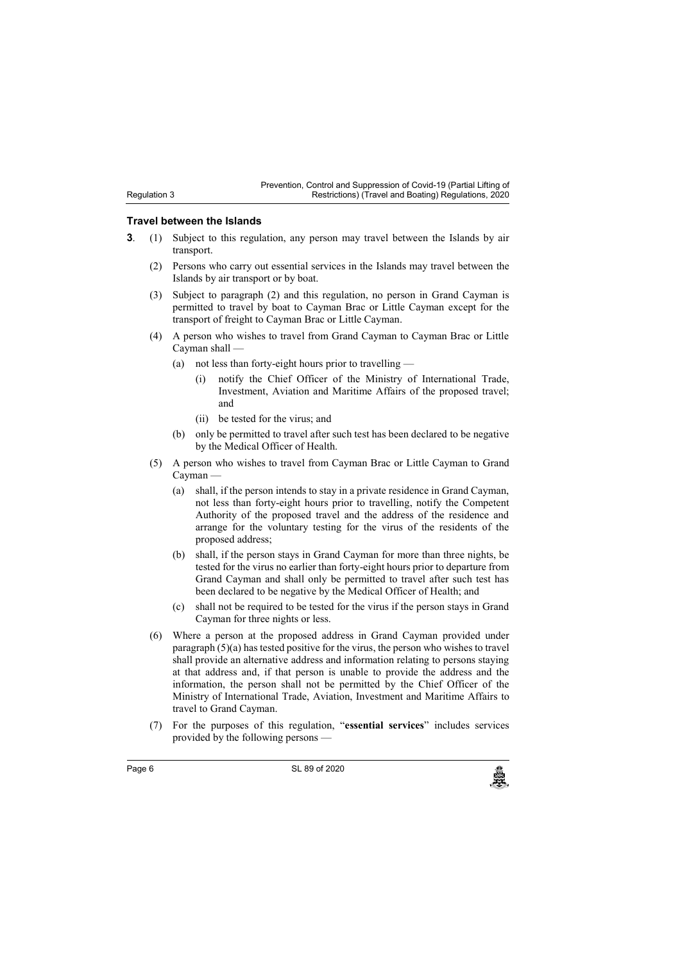#### **3. Travel between the Islands**

Regulation 3

- **3**. (1) Subject to this regulation, any person may travel between the Islands by air transport.
	- (2) Persons who carry out essential services in the Islands may travel between the Islands by air transport or by boat.
	- (3) Subject to paragraph (2) and this regulation, no person in Grand Cayman is permitted to travel by boat to Cayman Brac or Little Cayman except for the transport of freight to Cayman Brac or Little Cayman.
	- (4) A person who wishes to travel from Grand Cayman to Cayman Brac or Little Cayman shall —
		- (a) not less than forty-eight hours prior to travelling
			- (i) notify the Chief Officer of the Ministry of International Trade, Investment, Aviation and Maritime Affairs of the proposed travel; and
			- (ii) be tested for the virus; and
		- (b) only be permitted to travel after such test has been declared to be negative by the Medical Officer of Health.
	- (5) A person who wishes to travel from Cayman Brac or Little Cayman to Grand Cayman —
		- (a) shall, if the person intends to stay in a private residence in Grand Cayman, not less than forty-eight hours prior to travelling, notify the Competent Authority of the proposed travel and the address of the residence and arrange for the voluntary testing for the virus of the residents of the proposed address;
		- (b) shall, if the person stays in Grand Cayman for more than three nights, be tested for the virus no earlier than forty-eight hours prior to departure from Grand Cayman and shall only be permitted to travel after such test has been declared to be negative by the Medical Officer of Health; and
		- (c) shall not be required to be tested for the virus if the person stays in Grand Cayman for three nights or less.
	- (6) Where a person at the proposed address in Grand Cayman provided under paragraph (5)(a) has tested positive for the virus, the person who wishes to travel shall provide an alternative address and information relating to persons staying at that address and, if that person is unable to provide the address and the information, the person shall not be permitted by the Chief Officer of the Ministry of International Trade, Aviation, Investment and Maritime Affairs to travel to Grand Cayman.
	- (7) For the purposes of this regulation, "**essential services**" includes services provided by the following persons —

Page 6 **SL 89 of 2020**<br>SL 89 of 2020<br>منابع المسلمات المسلمات المسلمات المسلمات المسلمات المسلمات المسلمات المسلمات المسلمات المسلمات المسلمات المسلم

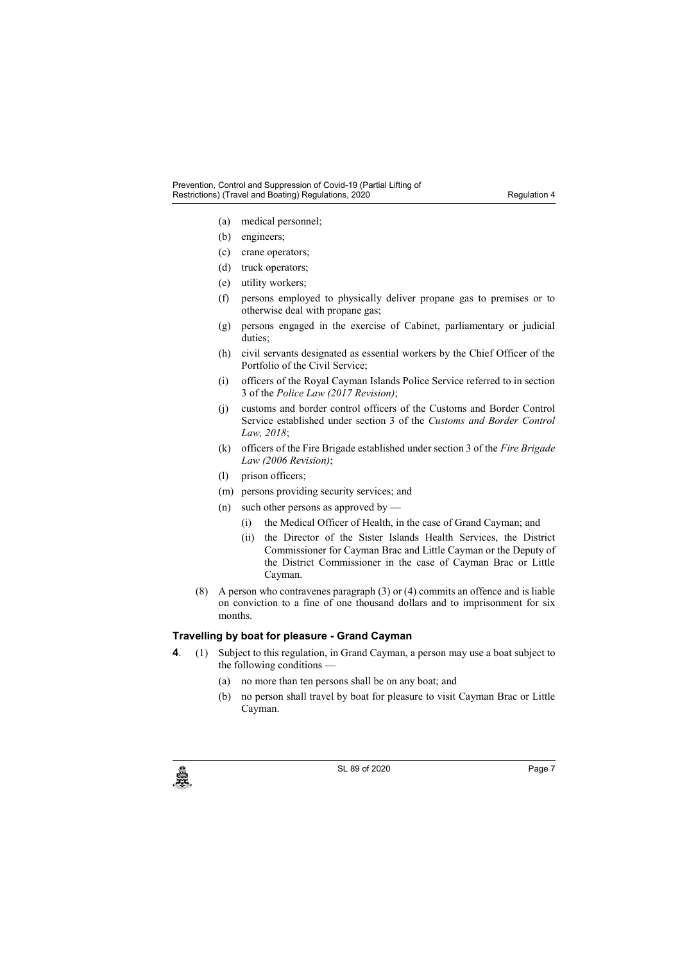#### Prevention, Control and Suppression of Covid-19 (Partial Lifting of Restrictions) (Travel and Boating) Regulations, 2020

- (a) medical personnel;
- (b) engineers;
- (c) crane operators;
- (d) truck operators;
- (e) utility workers;
- (f) persons employed to physically deliver propane gas to premises or to otherwise deal with propane gas;
- (g) persons engaged in the exercise of Cabinet, parliamentary or judicial duties;
- (h) civil servants designated as essential workers by the Chief Officer of the Portfolio of the Civil Service;
- (i) officers of the Royal Cayman Islands Police Service referred to in section 3 of the *Police Law (2017 Revision)*;
- (j) customs and border control officers of the Customs and Border Control Service established under section 3 of the *Customs and Border Control Law, 2018*;
- (k) officers of the Fire Brigade established under section 3 of the *Fire Brigade Law (2006 Revision)*;
- (l) prison officers;
- (m) persons providing security services; and
- (n) such other persons as approved by
	- (i) the Medical Officer of Health, in the case of Grand Cayman; and
	- (ii) the Director of the Sister Islands Health Services, the District Commissioner for Cayman Brac and Little Cayman or the Deputy of the District Commissioner in the case of Cayman Brac or Little Cayman.
- (8) A person who contravenes paragraph (3) or (4) commits an offence and is liable on conviction to a fine of one thousand dollars and to imprisonment for six months.

## **4. Travelling by boat for pleasure - Grand Cayman**

- **4**. (1) Subject to this regulation, in Grand Cayman, a person may use a boat subject to the following conditions —
	- (a) no more than ten persons shall be on any boat; and
	- (b) no person shall travel by boat for pleasure to visit Cayman Brac or Little Cayman.



c SL 89 of 2020<br>
SL 89 of 2020<br>
Page 7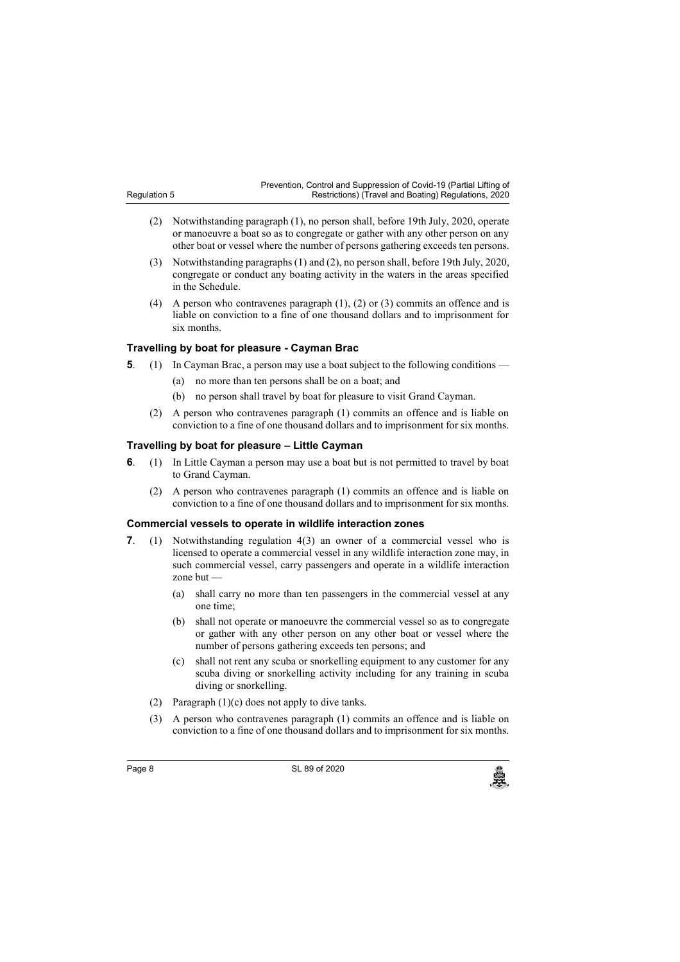Prevention, Control and Suppression of Covid-19 (Partial Lifting of Restrictions) (Travel and Boating) Regulations, 2020

- (2) Notwithstanding paragraph (1), no person shall, before 19th July, 2020, operate or manoeuvre a boat so as to congregate or gather with any other person on any other boat or vessel where the number of persons gathering exceeds ten persons.
- (3) Notwithstanding paragraphs (1) and (2), no person shall, before 19th July, 2020, congregate or conduct any boating activity in the waters in the areas specified in the Schedule.
- (4) A person who contravenes paragraph (1), (2) or (3) commits an offence and is liable on conviction to a fine of one thousand dollars and to imprisonment for six months.

#### **5. Travelling by boat for pleasure - Cayman Brac**

Regulation 5

- **5**. (1) In Cayman Brac, a person may use a boat subject to the following conditions
	- (a) no more than ten persons shall be on a boat; and
	- (b) no person shall travel by boat for pleasure to visit Grand Cayman.
	- (2) A person who contravenes paragraph (1) commits an offence and is liable on conviction to a fine of one thousand dollars and to imprisonment for six months.

## **6. Travelling by boat for pleasure – Little Cayman**

- **6**. (1) In Little Cayman a person may use a boat but is not permitted to travel by boat to Grand Cayman.
	- (2) A person who contravenes paragraph (1) commits an offence and is liable on conviction to a fine of one thousand dollars and to imprisonment for six months.

#### **7. Commercial vessels to operate in wildlife interaction zones**

- **7**. (1) Notwithstanding regulation 4(3) an owner of a commercial vessel who is licensed to operate a commercial vessel in any wildlife interaction zone may, in such commercial vessel, carry passengers and operate in a wildlife interaction zone but
	- (a) shall carry no more than ten passengers in the commercial vessel at any one time;
	- (b) shall not operate or manoeuvre the commercial vessel so as to congregate or gather with any other person on any other boat or vessel where the number of persons gathering exceeds ten persons; and
	- (c) shall not rent any scuba or snorkelling equipment to any customer for any scuba diving or snorkelling activity including for any training in scuba diving or snorkelling.
	- (2) Paragraph (1)(c) does not apply to dive tanks.
	- (3) A person who contravenes paragraph (1) commits an offence and is liable on conviction to a fine of one thousand dollars and to imprisonment for six months.

Page 8 **SL 89 of 2020**<br>SL 89 of 2020<br>منابع المسلمات المسلمات المسلمات المسلمات المسلمات المسلمات المسلمات المسلمات المسلمات المسلمات المسلمات المسلم

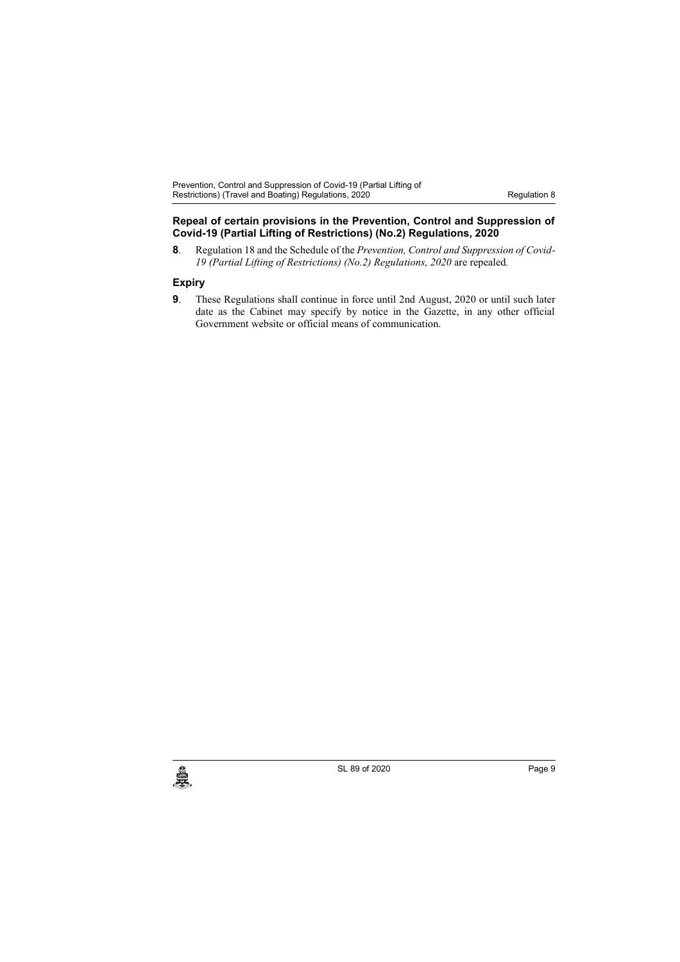Prevention, Control and Suppression of Covid-19 (Partial Lifting of Restrictions) (Travel and Boating) Regulations, 2020 **Restriction 8** Regulation 8

#### **8. Repeal of certain provisions in the Prevention, Control and Suppression of Covid-19 (Partial Lifting of Restrictions) (No.2) Regulations, 2020**

**8**. Regulation 18 and the Schedule of the *Prevention, Control and Suppression of Covid-19 (Partial Lifting of Restrictions) (No.2) Regulations, 2020* are repealed*.*

## **9. Expiry**

**9**. These Regulations shall continue in force until 2nd August, 2020 or until such later date as the Cabinet may specify by notice in the Gazette, in any other official Government website or official means of communication.



 $SL$  89 of 2020 Page 9